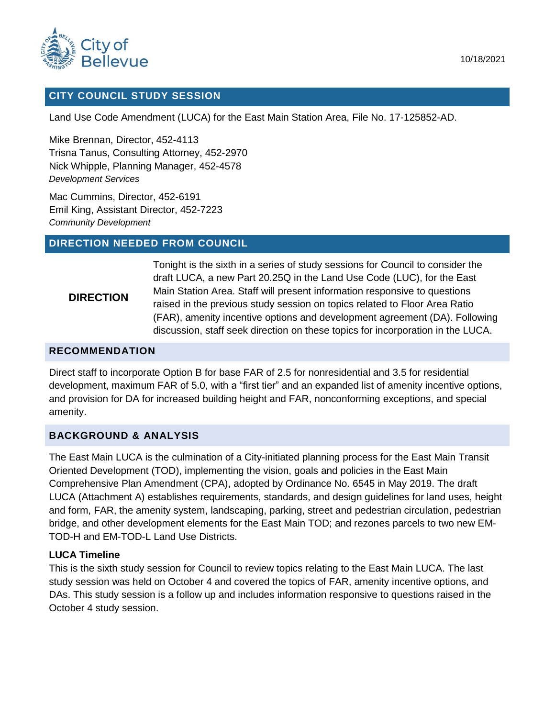

#### **CITY COUNCIL STUDY SESSION**

Land Use Code Amendment (LUCA) for the East Main Station Area, File No. 17-125852-AD.

Mike Brennan, Director, 452-4113 Trisna Tanus, Consulting Attorney, 452-2970 Nick Whipple, Planning Manager, 452-4578 *Development Services* 

Mac Cummins, Director, 452-6191 Emil King, Assistant Director, 452-7223 *Community Development* 

#### **DIRECTION NEEDED FROM COUNCIL**

#### **DIRECTION**

Tonight is the sixth in a series of study sessions for Council to consider the draft LUCA, a new Part 20.25Q in the Land Use Code (LUC), for the East Main Station Area. Staff will present information responsive to questions raised in the previous study session on topics related to Floor Area Ratio (FAR), amenity incentive options and development agreement (DA). Following discussion, staff seek direction on these topics for incorporation in the LUCA.

#### **RECOMMENDATION**

Direct staff to incorporate Option B for base FAR of 2.5 for nonresidential and 3.5 for residential development, maximum FAR of 5.0, with a "first tier" and an expanded list of amenity incentive options, and provision for DA for increased building height and FAR, nonconforming exceptions, and special amenity.

#### **BACKGROUND & ANALYSIS**

The East Main LUCA is the culmination of a City-initiated planning process for the East Main Transit Oriented Development (TOD), implementing the vision, goals and policies in the East Main Comprehensive Plan Amendment (CPA), adopted by Ordinance No. 6545 in May 2019. The draft LUCA (Attachment A) establishes requirements, standards, and design guidelines for land uses, height and form, FAR, the amenity system, landscaping, parking, street and pedestrian circulation, pedestrian bridge, and other development elements for the East Main TOD; and rezones parcels to two new EM-TOD-H and EM-TOD-L Land Use Districts.

#### **LUCA Timeline**

This is the sixth study session for Council to review topics relating to the East Main LUCA. The last study session was held on October 4 and covered the topics of FAR, amenity incentive options, and DAs. This study session is a follow up and includes information responsive to questions raised in the October 4 study session.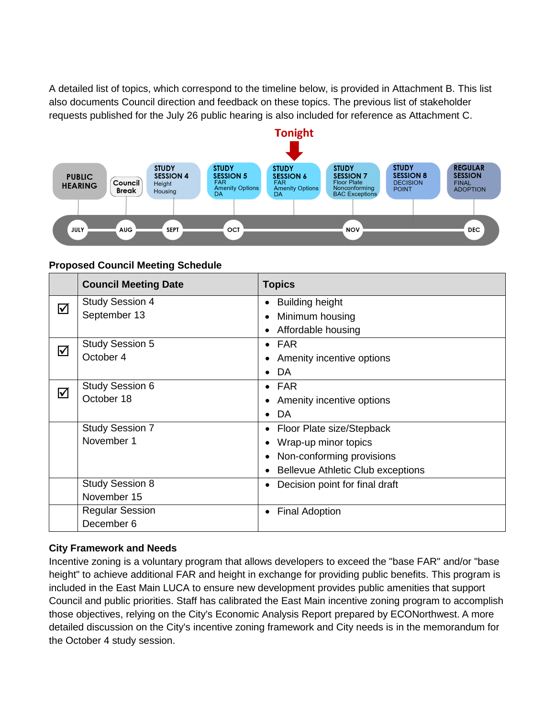A detailed list of topics, which correspond to the timeline below, is provided in Attachment B. This list also documents Council direction and feedback on these topics. The previous list of stakeholder requests published for the July 26 public hearing is also included for reference as Attachment C.



#### **Proposed Council Meeting Schedule**

|   | <b>Council Meeting Date</b> | <b>Topics</b>                            |  |  |
|---|-----------------------------|------------------------------------------|--|--|
| ⊠ | <b>Study Session 4</b>      | <b>Building height</b>                   |  |  |
|   | September 13                | Minimum housing                          |  |  |
|   |                             | Affordable housing                       |  |  |
| ⊠ | <b>Study Session 5</b>      | $\bullet$ FAR                            |  |  |
|   | October 4                   | Amenity incentive options                |  |  |
|   |                             | DA                                       |  |  |
| ⊠ | <b>Study Session 6</b>      | $\bullet$ FAR                            |  |  |
|   | October 18                  | Amenity incentive options                |  |  |
|   |                             | DA                                       |  |  |
|   | <b>Study Session 7</b>      | • Floor Plate size/Stepback              |  |  |
|   | November 1                  | Wrap-up minor topics                     |  |  |
|   |                             | Non-conforming provisions                |  |  |
|   |                             | <b>Bellevue Athletic Club exceptions</b> |  |  |
|   | <b>Study Session 8</b>      | Decision point for final draft           |  |  |
|   | November 15                 |                                          |  |  |
|   | <b>Regular Session</b>      | <b>Final Adoption</b><br>$\bullet$       |  |  |
|   | December 6                  |                                          |  |  |

### **City Framework and Needs**

Incentive zoning is a voluntary program that allows developers to exceed the "base FAR" and/or "base height" to achieve additional FAR and height in exchange for providing public benefits. This program is included in the East Main LUCA to ensure new development provides public amenities that support Council and public priorities. Staff has calibrated the East Main incentive zoning program to accomplish those objectives, relying on the City's Economic Analysis Report prepared by ECONorthwest. A more detailed discussion on the City's incentive zoning framework and City needs is in the memorandum for the October 4 study session.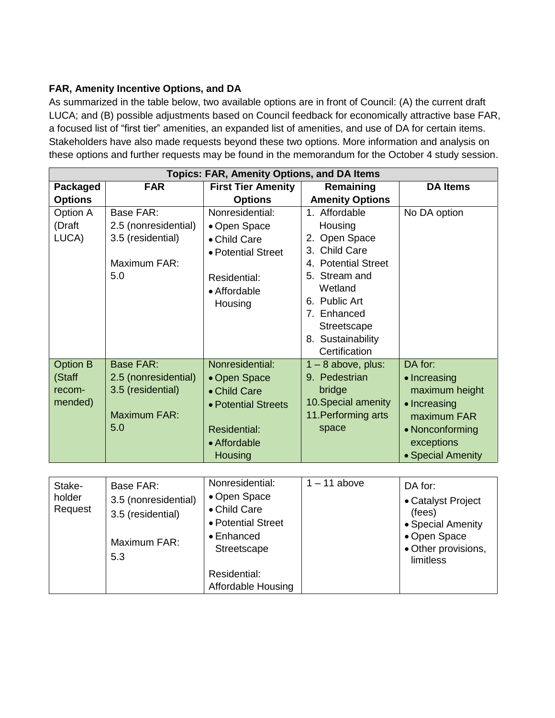## **FAR, Amenity Incentive Options, and DA**

As summarized in the table below, two available options are in front of Council: (A) the current draft LUCA; and (B) possible adjustments based on Council feedback for economically attractive base FAR, a focused list of "first tier" amenities, an expanded list of amenities, and use of DA for certain items. Stakeholders have also made requests beyond these two options. More information and analysis on these options and further requests may be found in the memorandum for the October 4 study session.

| <b>Topics: FAR, Amenity Options, and DA Items</b> |                      |                           |                        |                   |  |  |
|---------------------------------------------------|----------------------|---------------------------|------------------------|-------------------|--|--|
| Packaged                                          | <b>FAR</b>           | <b>First Tier Amenity</b> | Remaining              | <b>DA Items</b>   |  |  |
| <b>Options</b>                                    |                      | <b>Options</b>            | <b>Amenity Options</b> |                   |  |  |
| Option A                                          | <b>Base FAR:</b>     | Nonresidential:           | 1. Affordable          | No DA option      |  |  |
| (Draft                                            | 2.5 (nonresidential) | • Open Space              | Housing                |                   |  |  |
| LUCA)                                             | 3.5 (residential)    | • Child Care              | 2. Open Space          |                   |  |  |
|                                                   |                      | • Potential Street        | 3. Child Care          |                   |  |  |
|                                                   | Maximum FAR:         |                           | 4. Potential Street    |                   |  |  |
|                                                   | 5.0                  | Residential:              | 5. Stream and          |                   |  |  |
|                                                   |                      | • Affordable              | Wetland                |                   |  |  |
|                                                   |                      | Housing                   | 6. Public Art          |                   |  |  |
|                                                   |                      |                           | 7. Enhanced            |                   |  |  |
|                                                   |                      |                           | Streetscape            |                   |  |  |
|                                                   |                      |                           | 8. Sustainability      |                   |  |  |
|                                                   |                      |                           | Certification          |                   |  |  |
| <b>Option B</b>                                   | <b>Base FAR:</b>     | Nonresidential:           | $1 - 8$ above, plus:   | DA for:           |  |  |
| (Staff                                            | 2.5 (nonresidential) | • Open Space              | 9. Pedestrian          | • Increasing      |  |  |
| recom-                                            | 3.5 (residential)    | • Child Care              | bridge                 | maximum height    |  |  |
| mended)                                           |                      | • Potential Streets       | 10. Special amenity    | • Increasing      |  |  |
|                                                   | <b>Maximum FAR:</b>  |                           | 11. Performing arts    | maximum FAR       |  |  |
|                                                   | 5.0                  | <b>Residential:</b>       | space                  | • Nonconforming   |  |  |
|                                                   |                      | • Affordable              |                        | exceptions        |  |  |
|                                                   |                      | Housing                   |                        | • Special Amenity |  |  |

| Stake-<br>holder<br>Request | Base FAR:<br>3.5 (nonresidential)<br>3.5 (residential)<br>Maximum FAR:<br>5.3 | Nonresidential:<br>• Open Space<br>• Child Care<br>• Potential Street<br>$\bullet$ Enhanced<br>Streetscape | $1 - 11$ above<br>DA for:<br>(fees) | • Catalyst Project<br>• Special Amenity<br>• Open Space<br>• Other provisions, |
|-----------------------------|-------------------------------------------------------------------------------|------------------------------------------------------------------------------------------------------------|-------------------------------------|--------------------------------------------------------------------------------|
|                             |                                                                               | Residential:<br><b>Affordable Housing</b>                                                                  |                                     | limitless                                                                      |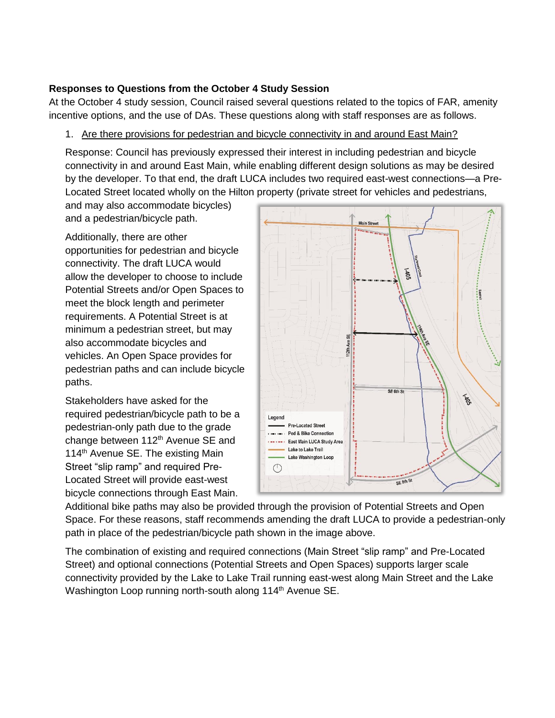## **Responses to Questions from the October 4 Study Session**

At the October 4 study session, Council raised several questions related to the topics of FAR, amenity incentive options, and the use of DAs. These questions along with staff responses are as follows.

## 1. Are there provisions for pedestrian and bicycle connectivity in and around East Main?

Response: Council has previously expressed their interest in including pedestrian and bicycle connectivity in and around East Main, while enabling different design solutions as may be desired by the developer. To that end, the draft LUCA includes two required east-west connections—a Pre-Located Street located wholly on the Hilton property (private street for vehicles and pedestrians,

and may also accommodate bicycles) and a pedestrian/bicycle path.

Additionally, there are other opportunities for pedestrian and bicycle connectivity. The draft LUCA would allow the developer to choose to include Potential Streets and/or Open Spaces to meet the block length and perimeter requirements. A Potential Street is at minimum a pedestrian street, but may also accommodate bicycles and vehicles. An Open Space provides for pedestrian paths and can include bicycle paths.

Stakeholders have asked for the required pedestrian/bicycle path to be a pedestrian-only path due to the grade change between 112<sup>th</sup> Avenue SE and 114<sup>th</sup> Avenue SE. The existing Main Street "slip ramp" and required Pre-Located Street will provide east-west bicycle connections through East Main.



Additional bike paths may also be provided through the provision of Potential Streets and Open Space. For these reasons, staff recommends amending the draft LUCA to provide a pedestrian-only path in place of the pedestrian/bicycle path shown in the image above.

The combination of existing and required connections (Main Street "slip ramp" and Pre-Located Street) and optional connections (Potential Streets and Open Spaces) supports larger scale connectivity provided by the Lake to Lake Trail running east-west along Main Street and the Lake Washington Loop running north-south along 114<sup>th</sup> Avenue SE.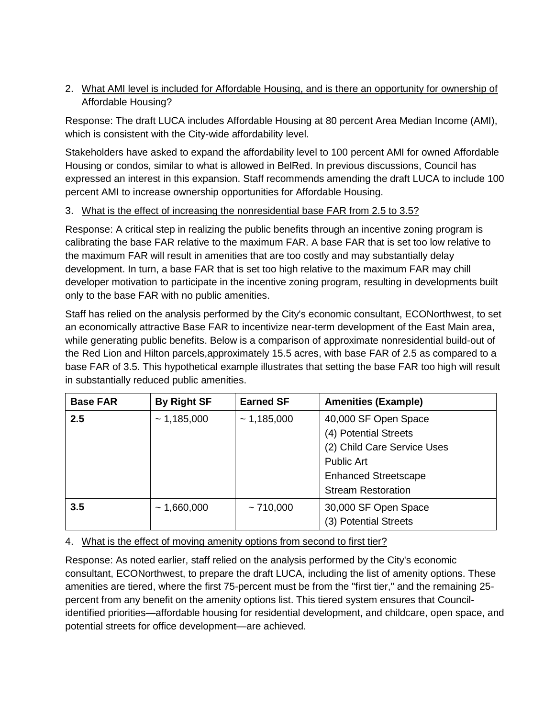## 2. What AMI level is included for Affordable Housing, and is there an opportunity for ownership of Affordable Housing?

Response: The draft LUCA includes Affordable Housing at 80 percent Area Median Income (AMI), which is consistent with the City-wide affordability level.

Stakeholders have asked to expand the affordability level to 100 percent AMI for owned Affordable Housing or condos, similar to what is allowed in BelRed. In previous discussions, Council has expressed an interest in this expansion. Staff recommends amending the draft LUCA to include 100 percent AMI to increase ownership opportunities for Affordable Housing.

### 3. What is the effect of increasing the nonresidential base FAR from 2.5 to 3.5?

Response: A critical step in realizing the public benefits through an incentive zoning program is calibrating the base FAR relative to the maximum FAR. A base FAR that is set too low relative to the maximum FAR will result in amenities that are too costly and may substantially delay development. In turn, a base FAR that is set too high relative to the maximum FAR may chill developer motivation to participate in the incentive zoning program, resulting in developments built only to the base FAR with no public amenities.

Staff has relied on the analysis performed by the City's economic consultant, ECONorthwest, to set an economically attractive Base FAR to incentivize near-term development of the East Main area, while generating public benefits. Below is a comparison of approximate nonresidential build-out of the Red Lion and Hilton parcels,approximately 15.5 acres, with base FAR of 2.5 as compared to a base FAR of 3.5. This hypothetical example illustrates that setting the base FAR too high will result in substantially reduced public amenities.

| <b>Base FAR</b> | <b>By Right SF</b> | <b>Earned SF</b> | <b>Amenities (Example)</b>  |
|-----------------|--------------------|------------------|-----------------------------|
| 2.5             | ~1,185,000         | ~1,185,000       | 40,000 SF Open Space        |
|                 |                    |                  | (4) Potential Streets       |
|                 |                    |                  | (2) Child Care Service Uses |
|                 |                    |                  | <b>Public Art</b>           |
|                 |                    |                  | <b>Enhanced Streetscape</b> |
|                 |                    |                  | <b>Stream Restoration</b>   |
| 3.5             | ~1,660,000         | ~10,000          | 30,000 SF Open Space        |
|                 |                    |                  | (3) Potential Streets       |

# 4. What is the effect of moving amenity options from second to first tier?

Response: As noted earlier, staff relied on the analysis performed by the City's economic consultant, ECONorthwest, to prepare the draft LUCA, including the list of amenity options. These amenities are tiered, where the first 75-percent must be from the "first tier," and the remaining 25 percent from any benefit on the amenity options list. This tiered system ensures that Councilidentified priorities—affordable housing for residential development, and childcare, open space, and potential streets for office development—are achieved.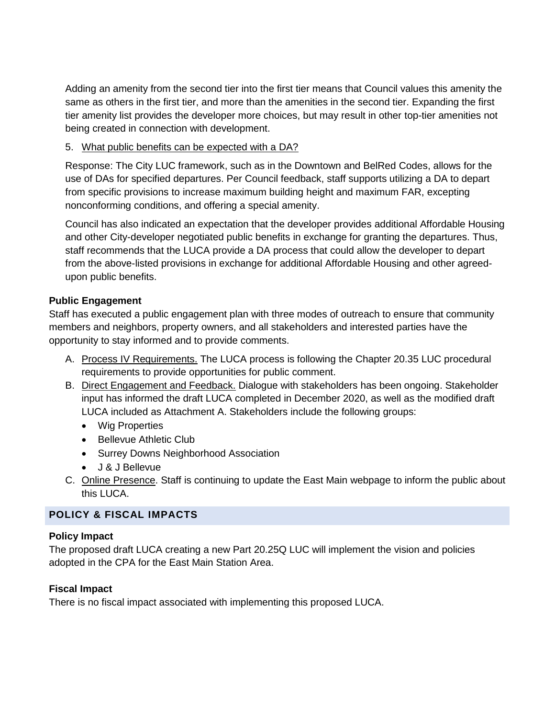Adding an amenity from the second tier into the first tier means that Council values this amenity the same as others in the first tier, and more than the amenities in the second tier. Expanding the first tier amenity list provides the developer more choices, but may result in other top-tier amenities not being created in connection with development.

### 5. What public benefits can be expected with a DA?

Response: The City LUC framework, such as in the Downtown and BelRed Codes, allows for the use of DAs for specified departures. Per Council feedback, staff supports utilizing a DA to depart from specific provisions to increase maximum building height and maximum FAR, excepting nonconforming conditions, and offering a special amenity.

Council has also indicated an expectation that the developer provides additional Affordable Housing and other City-developer negotiated public benefits in exchange for granting the departures. Thus, staff recommends that the LUCA provide a DA process that could allow the developer to depart from the above-listed provisions in exchange for additional Affordable Housing and other agreedupon public benefits.

## **Public Engagement**

Staff has executed a public engagement plan with three modes of outreach to ensure that community members and neighbors, property owners, and all stakeholders and interested parties have the opportunity to stay informed and to provide comments.

- A. Process IV Requirements. The LUCA process is following the Chapter 20.35 LUC procedural requirements to provide opportunities for public comment.
- B. Direct Engagement and Feedback. Dialogue with stakeholders has been ongoing. Stakeholder input has informed the draft LUCA completed in December 2020, as well as the modified draft LUCA included as Attachment A. Stakeholders include the following groups:
	- Wig Properties
	- Bellevue Athletic Club
	- Surrey Downs Neighborhood Association
	- J & J Bellevue
- C. Online Presence. Staff is continuing to update the East Main webpage to inform the public about this LUCA.

# **POLICY & FISCAL IMPACTS**

### **Policy Impact**

The proposed draft LUCA creating a new Part 20.25Q LUC will implement the vision and policies adopted in the CPA for the East Main Station Area.

# **Fiscal Impact**

There is no fiscal impact associated with implementing this proposed LUCA.